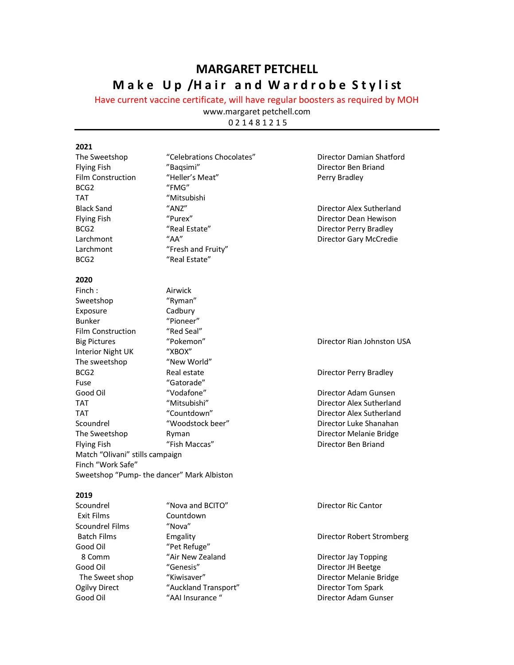# **MARGARET PETCHELL Make Up /Hair and Wardrobe Stylist**

Have current vaccine certificate, will have regular boosters as required by MOH

www.margaret petchell.com

0 2 1 4 8 1 2 1 5

## **2021**

| The Sweetshop                   | "Celebrations Chocolates"                   | Director Damian Shatford   |
|---------------------------------|---------------------------------------------|----------------------------|
| <b>Flying Fish</b>              | "Baqsimi"                                   | Director Ben Briand        |
| Film Construction               | "Heller's Meat"                             | Perry Bradley              |
| BCG <sub>2</sub>                | "FMG"                                       |                            |
| <b>TAT</b>                      | "Mitsubishi                                 |                            |
| <b>Black Sand</b>               | "ANZ"                                       | Director Alex Sutherland   |
| <b>Flying Fish</b>              | "Purex"                                     | Director Dean Hewison      |
| BCG <sub>2</sub>                | "Real Estate"                               | Director Perry Bradley     |
| Larchmont                       | $H$ AA"                                     | Director Gary McCredie     |
| Larchmont                       | "Fresh and Fruity"                          |                            |
| BCG <sub>2</sub>                | "Real Estate"                               |                            |
| 2020                            |                                             |                            |
| Finch:                          | Airwick                                     |                            |
| Sweetshop                       | "Ryman"                                     |                            |
| Exposure                        | Cadbury                                     |                            |
| <b>Bunker</b>                   | "Pioneer"                                   |                            |
| <b>Film Construction</b>        | "Red Seal"                                  |                            |
| <b>Big Pictures</b>             | "Pokemon"                                   | Director Rian Johnston USA |
| <b>Interior Night UK</b>        | "XBOX"                                      |                            |
| The sweetshop                   | "New World"                                 |                            |
| BCG2                            | Real estate                                 | Director Perry Bradley     |
| Fuse                            | "Gatorade"                                  |                            |
| Good Oil                        | "Vodafone"                                  | Director Adam Gunsen       |
| TAT                             | "Mitsubishi"                                | Director Alex Sutherland   |
| <b>TAT</b>                      | "Countdown"                                 | Director Alex Sutherland   |
| Scoundrel                       | "Woodstock beer"                            | Director Luke Shanahan     |
| The Sweetshop                   | Ryman                                       | Director Melanie Bridge    |
| <b>Flying Fish</b>              | "Fish Maccas"                               | Director Ben Briand        |
| Match "Olivani" stills campaign |                                             |                            |
| Finch "Work Safe"               |                                             |                            |
|                                 | Sweetshop "Pump- the dancer" Mark Albiston  |                            |
| 2019                            |                                             |                            |
| Scoundrel                       | "Nova and BCITO"                            | Director Ric Cantor        |
| Exit Films                      | Countdown                                   |                            |
| Scoundrel Films                 | "Nova"                                      |                            |
| <b>Batch Films</b>              | Emgality                                    | Director Robert Stromberg  |
| Good Oil                        | "Pet Refuge"                                |                            |
| 8 Comm                          | "Air New Zealand                            | Director Jay Topping       |
| $C = -1$ $C$                    | $^{\prime\prime}$ Canacia $^{\prime\prime}$ | Disaatas ULDaataa          |

Good Oil "Genesis" Cood Oil "Genesis" Cood Oil Cood Oil Cood Oil Exercise Senesis" Cood Oil Cood Oil Cood Chem<br>The Sweet shop "Kiwisaver" Cood Cood Oil Director Melanie B The Sweet shop "Kiwisaver" Director Melanie Bridge Ogilvy Direct "Auckland Transport" Director Tom Spark<br>
Good Oil "AAI Insurance "Director Adam Guns Good Oil **Manual "AAI Insurance "** The Coord Oil Director Adam Gunser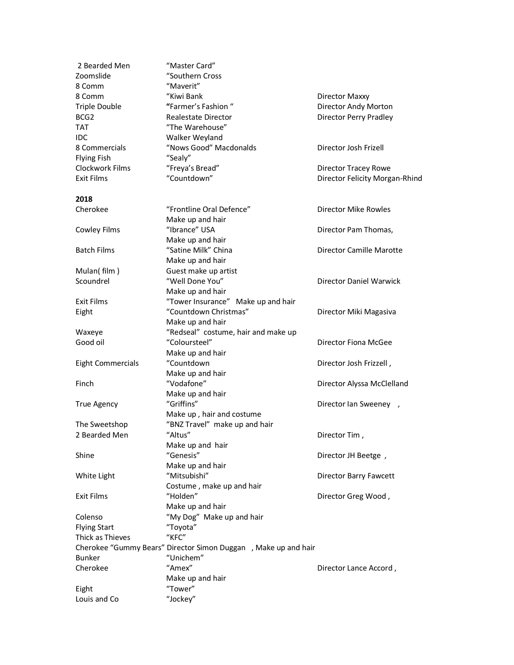| 2 Bearded Men<br>Zoomslide | "Master Card"<br>"Southern Cross                               |                                |
|----------------------------|----------------------------------------------------------------|--------------------------------|
|                            |                                                                |                                |
| 8 Comm                     | "Maverit"                                                      |                                |
| 8 Comm                     | "Kiwi Bank                                                     | Director Maxxy                 |
| Triple Double              | "Farmer's Fashion"                                             | Director Andy Morton           |
| BCG <sub>2</sub>           | Realestate Director                                            | Director Perry Pradley         |
| <b>TAT</b>                 | "The Warehouse"                                                |                                |
| <b>IDC</b>                 | Walker Weyland                                                 |                                |
| 8 Commercials              | "Nows Good" Macdonalds                                         | Director Josh Frizell          |
| <b>Flying Fish</b>         | "Sealy"                                                        |                                |
| Clockwork Films            | "Freya's Bread"                                                | Director Tracey Rowe           |
| <b>Exit Films</b>          | "Countdown"                                                    | Director Felicity Morgan-Rhind |
| 2018                       |                                                                |                                |
| Cherokee                   | "Frontline Oral Defence"                                       | <b>Director Mike Rowles</b>    |
|                            | Make up and hair                                               |                                |
| Cowley Films               | "Ibrance" USA                                                  | Director Pam Thomas,           |
|                            | Make up and hair                                               |                                |
| <b>Batch Films</b>         | "Satine Milk" China                                            | Director Camille Marotte       |
|                            | Make up and hair                                               |                                |
| Mulan(film)                | Guest make up artist                                           |                                |
| Scoundrel                  | "Well Done You"                                                | Director Daniel Warwick        |
|                            | Make up and hair                                               |                                |
| <b>Exit Films</b>          | "Tower Insurance" Make up and hair                             |                                |
| Eight                      | "Countdown Christmas"                                          | Director Miki Magasiva         |
|                            | Make up and hair                                               |                                |
| Waxeye                     | "Redseal" costume, hair and make up                            |                                |
| Good oil                   | "Coloursteel"                                                  | Director Fiona McGee           |
|                            | Make up and hair                                               |                                |
| <b>Eight Commercials</b>   | "Countdown                                                     | Director Josh Frizzell,        |
|                            | Make up and hair                                               |                                |
| Finch                      | "Vodafone"                                                     | Director Alyssa McClelland     |
|                            | Make up and hair                                               |                                |
| <b>True Agency</b>         | "Griffins"                                                     | Director Ian Sweeney,          |
|                            | Make up, hair and costume                                      |                                |
| The Sweetshop              | "BNZ Travel" make up and hair                                  |                                |
| 2 Bearded Men              | "Altus"                                                        | Director Tim,                  |
|                            | Make up and hair                                               |                                |
| Shine                      | "Genesis"                                                      | Director JH Beetge,            |
|                            | Make up and hair                                               |                                |
| White Light                | "Mitsubishi"                                                   | Director Barry Fawcett         |
|                            | Costume, make up and hair                                      |                                |
| <b>Exit Films</b>          | "Holden"                                                       | Director Greg Wood,            |
|                            | Make up and hair                                               |                                |
| Colenso                    | "My Dog" Make up and hair                                      |                                |
| <b>Flying Start</b>        | "Toyota"                                                       |                                |
| Thick as Thieves           | $"$ KFC"                                                       |                                |
|                            | Cherokee "Gummy Bears" Director Simon Duggan, Make up and hair |                                |
| <b>Bunker</b>              | "Unichem"                                                      |                                |
| Cherokee                   | "Amex"                                                         | Director Lance Accord,         |
|                            | Make up and hair                                               |                                |
| Eight                      | "Tower"                                                        |                                |
| Louis and Co               | "Jockey"                                                       |                                |
|                            |                                                                |                                |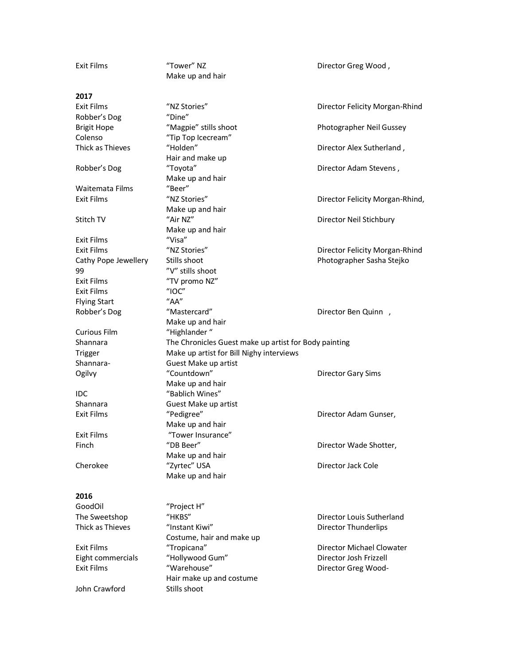| <b>Exit Films</b>                      | "Tower" NZ                                            | Director Greg Wood,             |
|----------------------------------------|-------------------------------------------------------|---------------------------------|
|                                        | Make up and hair                                      |                                 |
|                                        |                                                       |                                 |
| 2017                                   |                                                       |                                 |
| <b>Exit Films</b>                      | "NZ Stories"                                          | Director Felicity Morgan-Rhind  |
| Robber's Dog                           | "Dine"                                                |                                 |
| <b>Brigit Hope</b>                     | "Magpie" stills shoot                                 | Photographer Neil Gussey        |
| Colenso                                | "Tip Top Icecream"                                    |                                 |
| Thick as Thieves                       | "Holden"                                              | Director Alex Sutherland,       |
|                                        | Hair and make up                                      |                                 |
| Robber's Dog                           | "Toyota"                                              | Director Adam Stevens,          |
|                                        | Make up and hair                                      |                                 |
| Waitemata Films                        | "Beer"                                                |                                 |
| <b>Exit Films</b>                      | "NZ Stories"                                          | Director Felicity Morgan-Rhind, |
|                                        | Make up and hair                                      |                                 |
| Stitch TV                              | "Air NZ"                                              | Director Neil Stichbury         |
|                                        | Make up and hair                                      |                                 |
| <b>Exit Films</b>                      | "Visa"                                                |                                 |
| <b>Exit Films</b>                      | "NZ Stories"                                          | Director Felicity Morgan-Rhind  |
| Cathy Pope Jewellery                   | Stills shoot                                          | Photographer Sasha Stejko       |
| 99                                     | "V" stills shoot                                      |                                 |
| <b>Exit Films</b>                      | "TV promo NZ"                                         |                                 |
| <b>Exit Films</b>                      | $^{\prime\prime}$ IOC $^{\prime\prime}$               |                                 |
| <b>Flying Start</b>                    | "AA"                                                  |                                 |
| Robber's Dog                           | "Mastercard"                                          | Director Ben Quinn,             |
|                                        | Make up and hair                                      |                                 |
| <b>Curious Film</b>                    | "Highlander"                                          |                                 |
|                                        | The Chronicles Guest make up artist for Body painting |                                 |
| Shannara                               |                                                       |                                 |
|                                        | Make up artist for Bill Nighy interviews              |                                 |
| Trigger<br>Shannara-                   | Guest Make up artist                                  |                                 |
|                                        | "Countdown"                                           |                                 |
| Ogilvy                                 | Make up and hair                                      | <b>Director Gary Sims</b>       |
| IDC                                    | "Bablich Wines"                                       |                                 |
| Shannara                               | Guest Make up artist                                  |                                 |
| <b>Exit Films</b>                      |                                                       | Director Adam Gunser,           |
|                                        | "Pedigree"<br>Make up and hair                        |                                 |
| <b>Exit Films</b>                      | "Tower Insurance"                                     |                                 |
| Finch                                  | "DB Beer"                                             |                                 |
|                                        |                                                       | Director Wade Shotter,          |
|                                        | Make up and hair                                      |                                 |
| Cherokee                               | "Zyrtec" USA                                          | Director Jack Cole              |
|                                        | Make up and hair                                      |                                 |
| 2016                                   |                                                       |                                 |
| GoodOil                                |                                                       |                                 |
|                                        | "Project H"<br>"HKBS"                                 | Director Louis Sutherland       |
| The Sweetshop                          |                                                       |                                 |
| Thick as Thieves                       | "Instant Kiwi"                                        | Director Thunderlips            |
| <b>Exit Films</b>                      | Costume, hair and make up                             | Director Michael Clowater       |
|                                        | "Tropicana"                                           | Director Josh Frizzell          |
| Eight commercials<br><b>Exit Films</b> | "Hollywood Gum"<br>"Warehouse"                        |                                 |
|                                        |                                                       | Director Greg Wood-             |
| John Crawford                          | Hair make up and costume<br>Stills shoot              |                                 |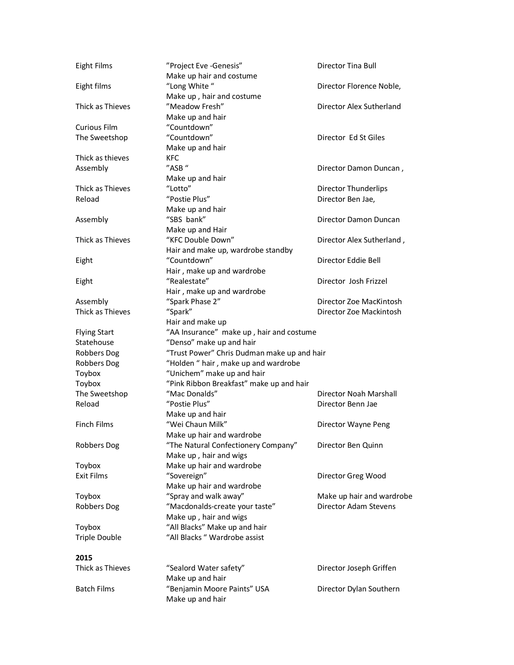| <b>Eight Films</b>   | "Project Eve -Genesis"<br>Make up hair and costume | Director Tina Bull        |
|----------------------|----------------------------------------------------|---------------------------|
| Eight films          | "Long White"<br>Make up, hair and costume          | Director Florence Noble,  |
| Thick as Thieves     | "Meadow Fresh"                                     | Director Alex Sutherland  |
|                      | Make up and hair                                   |                           |
| <b>Curious Film</b>  | "Countdown"                                        |                           |
| The Sweetshop        | "Countdown"                                        | Director Ed St Giles      |
|                      | Make up and hair                                   |                           |
| Thick as thieves     | KFC                                                |                           |
| Assembly             | "ASB"                                              | Director Damon Duncan,    |
|                      | Make up and hair                                   |                           |
| Thick as Thieves     | "Lotto"                                            | Director Thunderlips      |
| Reload               | "Postie Plus"                                      | Director Ben Jae,         |
|                      | Make up and hair                                   |                           |
| Assembly             | "SBS bank"                                         | Director Damon Duncan     |
|                      | Make up and Hair                                   |                           |
| Thick as Thieves     | "KFC Double Down"                                  | Director Alex Sutherland, |
|                      | Hair and make up, wardrobe standby                 |                           |
| Eight                | "Countdown"                                        | Director Eddie Bell       |
|                      | Hair, make up and wardrobe                         |                           |
| Eight                | "Realestate"                                       | Director Josh Frizzel     |
|                      | Hair, make up and wardrobe                         |                           |
| Assembly             | "Spark Phase 2"                                    | Director Zoe MacKintosh   |
| Thick as Thieves     | "Spark"                                            | Director Zoe Mackintosh   |
|                      | Hair and make up                                   |                           |
| <b>Flying Start</b>  | "AA Insurance" make up, hair and costume           |                           |
| Statehouse           | "Denso" make up and hair                           |                           |
| Robbers Dog          | "Trust Power" Chris Dudman make up and hair        |                           |
| Robbers Dog          | "Holden " hair, make up and wardrobe               |                           |
| Toybox               | "Unichem" make up and hair                         |                           |
| Toybox               | "Pink Ribbon Breakfast" make up and hair           |                           |
| The Sweetshop        | "Mac Donalds"                                      | Director Noah Marshall    |
| Reload               | "Postie Plus"                                      | Director Benn Jae         |
|                      | Make up and hair                                   |                           |
| <b>Finch Films</b>   | "Wei Chaun Milk"                                   | Director Wayne Peng       |
|                      | Make up hair and wardrobe                          |                           |
| Robbers Dog          | "The Natural Confectionery Company"                | Director Ben Quinn        |
|                      | Make up, hair and wigs                             |                           |
| Toybox               | Make up hair and wardrobe                          |                           |
| <b>Exit Films</b>    | "Sovereign"                                        | Director Greg Wood        |
|                      | Make up hair and wardrobe                          |                           |
| Toybox               | "Spray and walk away"                              | Make up hair and wardrobe |
| Robbers Dog          | "Macdonalds-create your taste"                     | Director Adam Stevens     |
|                      | Make up, hair and wigs                             |                           |
| Toybox               | "All Blacks" Make up and hair                      |                           |
| <b>Triple Double</b> | "All Blacks " Wardrobe assist                      |                           |
| 2015                 |                                                    |                           |
| Thick as Thieves     | "Sealord Water safety"                             | Director Joseph Griffen   |
|                      | Make up and hair                                   |                           |
| <b>Batch Films</b>   | "Benjamin Moore Paints" USA                        | Director Dylan Southern   |
|                      | Make up and hair                                   |                           |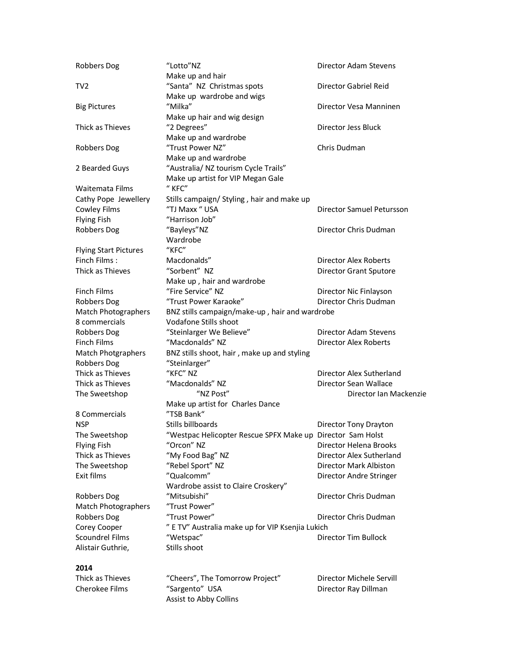| Robbers Dog                  | "Lotto"NZ                                                  | Director Adam Stevens        |
|------------------------------|------------------------------------------------------------|------------------------------|
|                              | Make up and hair                                           |                              |
| TV <sub>2</sub>              | "Santa" NZ Christmas spots                                 | Director Gabriel Reid        |
|                              | Make up wardrobe and wigs                                  |                              |
| <b>Big Pictures</b>          | "Milka"                                                    | Director Vesa Manninen       |
|                              | Make up hair and wig design                                |                              |
| Thick as Thieves             | "2 Degrees"                                                | Director Jess Bluck          |
|                              | Make up and wardrobe                                       |                              |
| Robbers Dog                  | "Trust Power NZ"                                           | Chris Dudman                 |
|                              | Make up and wardrobe                                       |                              |
| 2 Bearded Guys               | "Australia/ NZ tourism Cycle Trails"                       |                              |
|                              | Make up artist for VIP Megan Gale                          |                              |
| Waitemata Films              | $"$ KFC"                                                   |                              |
| Cathy Pope Jewellery         | Stills campaign/ Styling, hair and make up                 |                              |
| Cowley Films                 | "TJ Maxx " USA                                             | Director Samuel Petursson    |
| <b>Flying Fish</b>           | "Harrison Job"                                             |                              |
| Robbers Dog                  | "Bayleys"NZ                                                | Director Chris Dudman        |
|                              | Wardrobe                                                   |                              |
| <b>Flying Start Pictures</b> | "KFC"                                                      |                              |
| Finch Films:                 | Macdonalds"                                                | Director Alex Roberts        |
| Thick as Thieves             | "Sorbent" NZ                                               | Director Grant Sputore       |
|                              | Make up, hair and wardrobe                                 |                              |
| <b>Finch Films</b>           | "Fire Service" NZ                                          | Director Nic Finlayson       |
| Robbers Dog                  | "Trust Power Karaoke"                                      | Director Chris Dudman        |
| Match Photographers          | BNZ stills campaign/make-up, hair and wardrobe             |                              |
| 8 commercials                | Vodafone Stills shoot                                      |                              |
| Robbers Dog                  | "Steinlarger We Believe"                                   | Director Adam Stevens        |
| <b>Finch Films</b>           | "Macdonalds" NZ                                            | <b>Director Alex Roberts</b> |
| <b>Match Photgraphers</b>    | BNZ stills shoot, hair, make up and styling                |                              |
| Robbers Dog                  | "Steinlarger"                                              |                              |
| Thick as Thieves             | "KFC" NZ                                                   | Director Alex Sutherland     |
| Thick as Thieves             | "Macdonalds" NZ                                            | Director Sean Wallace        |
| The Sweetshop                | "NZ Post"                                                  | Director Ian Mackenzie       |
|                              | Make up artist for Charles Dance                           |                              |
| 8 Commercials                | "TSB Bank"                                                 |                              |
| <b>NSP</b>                   | Stills billboards                                          | Director Tony Drayton        |
| The Sweetshop                | "Westpac Helicopter Rescue SPFX Make up Director Sam Holst |                              |
| <b>Flying Fish</b>           | "Orcon" NZ                                                 | Director Helena Brooks       |
| Thick as Thieves             | "My Food Bag" NZ                                           | Director Alex Sutherland     |
| The Sweetshop                | "Rebel Sport" NZ                                           | Director Mark Albiston       |
| Exit films                   | "Qualcomm"                                                 | Director Andre Stringer      |
|                              | Wardrobe assist to Claire Croskery"                        |                              |
| Robbers Dog                  | "Mitsubishi"                                               | Director Chris Dudman        |
| Match Photographers          | "Trust Power"                                              |                              |
| Robbers Dog                  | "Trust Power"                                              | Director Chris Dudman        |
|                              | " E TV" Australia make up for VIP Ksenjia Lukich           |                              |
| Corey Cooper                 |                                                            |                              |
| Scoundrel Films              | "Wetspac"                                                  | Director Tim Bullock         |
| Alistair Guthrie,            | Stills shoot                                               |                              |
|                              |                                                            |                              |
| 2014                         |                                                            |                              |
| Thick as Thieves             | "Cheers", The Tomorrow Project"                            | Director Michele Servill     |
| Cherokee Films               | "Sargento" USA                                             | Director Ray Dillman         |

Assist to Abby Collins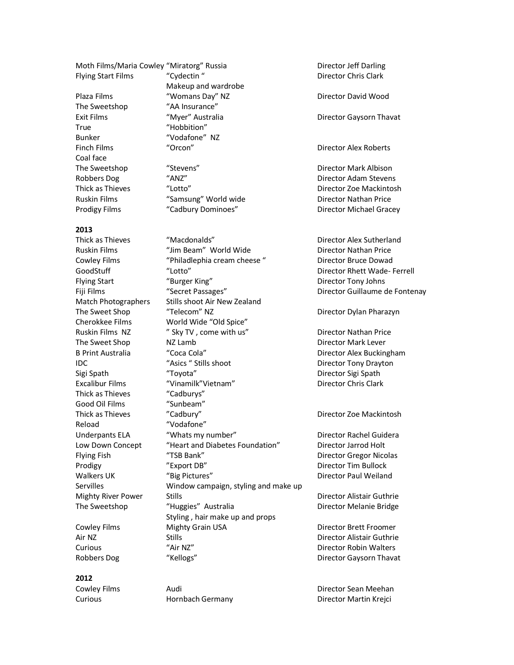Moth Films/Maria Cowley "Miratorg" Russia **Director Jeff Darling** 

The Sweetshop "AA Insurance" True "Hobbition" Coal face

Flying Start Films  $\text{Cy}\left( \text{cyc}\right)$  "Cydectin " Director Chris Clark Makeup and wardrobe Plaza Films "Womans Day" NZ Director David Wood Exit Films **Exit Films** (Myer" Australia Company of Caysorn Thavat Bunker "Vodafone" NZ Finch Films **Example 20 Terms** "Orcon" **Director Alex Roberts** The Sweetshop "Stevens" Charlotter Charlotter Charlotter Director Mark Albison Robbers Dog "ANZ" ANZ" Director Adam Stevens Ruskin Films **The Samsung" World wide Constructs** Director Nathan Price

#### **2013**

Thick as Thieves "Cadburys" Good Oil Films "Sunbeam" Reload "Vodafone"

### **2012**

Thick as Thieves "Macdonalds" Director Alex Sutherland Ruskin Films "Jim Beam" World Wide Director Nathan Price Cowley Films "Philadlephia cream cheese " Director Bruce Dowad GoodStuff "Lotto" **Communist Communist Communist Communist Communist Communist Communist Communist Communist Co** Flying Start "Burger King" Director Tony Johns Fiji Films **Secret Passages" Communist Communist Communist Communist Communist Communist Communist Communist Communist Communist Communist Communist Communist Communist Communist Communist Communist Communist Communist C** Match Photographers Stills shoot Air New Zealand The Sweet Shop "Telecom" NZ Director Dylan Pharazyn Cherokkee Films World Wide "Old Spice" Ruskin Films NZ  $\begin{array}{ccc} \gamma' & \text{Sky TV} & \text{come with us}^{\prime} & \text{Oifactor Nathan Price} \\ \text{The Sweet Shop} & \text{NZ Lamb} & \text{Oifector Mark Lever} \end{array}$ The Sweet Shop NZ Lamb **NGC 100 And Area Contract Contract Contract Contract Contract Contract Contract Contract Contract Contract Contract On Area Contract Contract On Area Contract Contract On Area Contract On Area Contr** B Print Australia  $\text{Coca Cola}$ "  $\text{Cora Cola}$ " Director Alex Buckingham IDC "Asics " Stills shoot Director Tony Drayton Sigi Spath "Toyota" Director Sigi Spath Excalibur Films "Vinamilk"Vietnam" Director Chris Clark Thick as Thieves **The Calbury' Cadbury' Calbury' Call 2018 Director Zoe Mackintosh** Underpants ELA "Whats my number" Director Rachel Guidera Low Down Concept "Heart and Diabetes Foundation" Director Jarrod Holt Flying Fish "TSB Bank" Director Gregor Nicolas Prodigy "Export DB" Director Tim Bullock Walkers UK "Big Pictures" Contact Director Paul Weiland Servilles Window campaign, styling and make up Mighty River Power Stills **Example 20 Stills** Director Alistair Guthrie The Sweetshop "Huggies" Australia New Montector Melanie Bridge Styling , hair make up and props Cowley Films **Mighty Grain USA** Director Brett Froomer Air NZ Stills Director Alistair Guthrie Curious "Air NZ" Director Robin Walters

Cowley Films **Audi** Audi **Director Sean Meehan** 

Thick as Thieves "Lotto" Director Zoe Mackintosh Prodigy Films "Cadbury Dominoes" Director Michael Gracey

Robbers Dog "Kellogs" **Characters Communist Character Communist Character Caysorn Thavat** 

Curious Hornbach Germany Director Martin Krejci